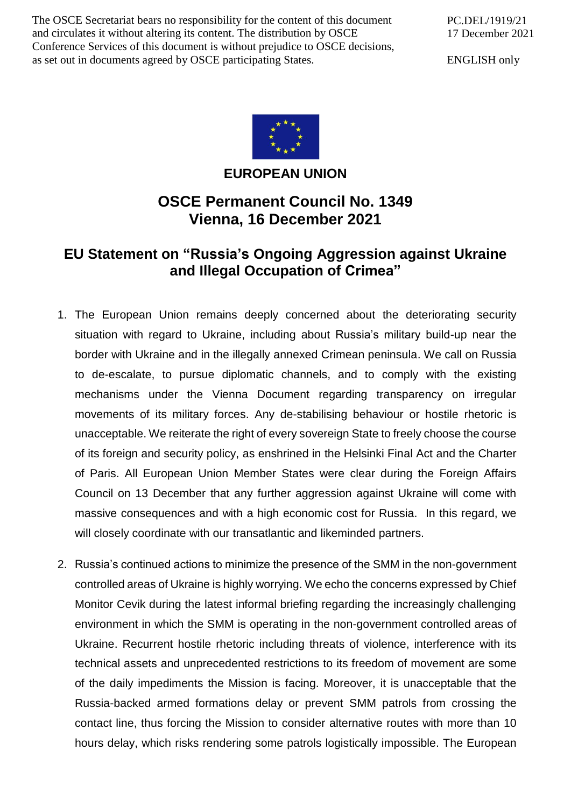The OSCE Secretariat bears no responsibility for the content of this document and circulates it without altering its content. The distribution by OSCE Conference Services of this document is without prejudice to OSCE decisions, as set out in documents agreed by OSCE participating States.

PC.DEL/1919/21 17 December 2021

ENGLISH only



**EUROPEAN UNION**

## **OSCE Permanent Council No. 1349 Vienna, 16 December 2021**

## **EU Statement on "Russia's Ongoing Aggression against Ukraine and Illegal Occupation of Crimea"**

- 1. The European Union remains deeply concerned about the deteriorating security situation with regard to Ukraine, including about Russia's military build-up near the border with Ukraine and in the illegally annexed Crimean peninsula. We call on Russia to de-escalate, to pursue diplomatic channels, and to comply with the existing mechanisms under the Vienna Document regarding transparency on irregular movements of its military forces. Any de-stabilising behaviour or hostile rhetoric is unacceptable. We reiterate the right of every sovereign State to freely choose the course of its foreign and security policy, as enshrined in the Helsinki Final Act and the Charter of Paris. All European Union Member States were clear during the Foreign Affairs Council on 13 December that any further aggression against Ukraine will come with massive consequences and with a high economic cost for Russia. In this regard, we will closely coordinate with our transatlantic and likeminded partners.
- 2. Russia's continued actions to minimize the presence of the SMM in the non-government controlled areas of Ukraine is highly worrying. We echo the concerns expressed by Chief Monitor Cevik during the latest informal briefing regarding the increasingly challenging environment in which the SMM is operating in the non-government controlled areas of Ukraine. Recurrent hostile rhetoric including threats of violence, interference with its technical assets and unprecedented restrictions to its freedom of movement are some of the daily impediments the Mission is facing. Moreover, it is unacceptable that the Russia-backed armed formations delay or prevent SMM patrols from crossing the contact line, thus forcing the Mission to consider alternative routes with more than 10 hours delay, which risks rendering some patrols logistically impossible. The European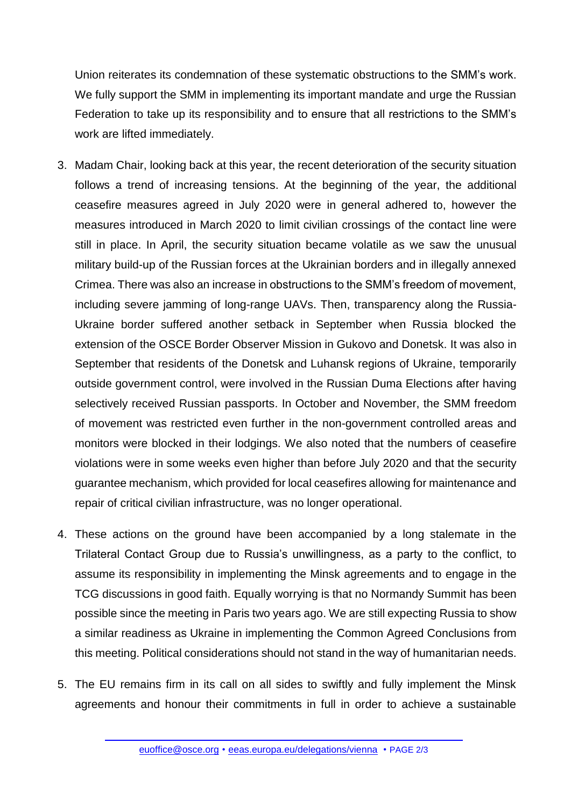Union reiterates its condemnation of these systematic obstructions to the SMM's work. We fully support the SMM in implementing its important mandate and urge the Russian Federation to take up its responsibility and to ensure that all restrictions to the SMM's work are lifted immediately.

- 3. Madam Chair, looking back at this year, the recent deterioration of the security situation follows a trend of increasing tensions. At the beginning of the year, the additional ceasefire measures agreed in July 2020 were in general adhered to, however the measures introduced in March 2020 to limit civilian crossings of the contact line were still in place. In April, the security situation became volatile as we saw the unusual military build-up of the Russian forces at the Ukrainian borders and in illegally annexed Crimea. There was also an increase in obstructions to the SMM's freedom of movement, including severe jamming of long-range UAVs. Then, transparency along the Russia-Ukraine border suffered another setback in September when Russia blocked the extension of the OSCE Border Observer Mission in Gukovo and Donetsk. It was also in September that residents of the Donetsk and Luhansk regions of Ukraine, temporarily outside government control, were involved in the Russian Duma Elections after having selectively received Russian passports. In October and November, the SMM freedom of movement was restricted even further in the non-government controlled areas and monitors were blocked in their lodgings. We also noted that the numbers of ceasefire violations were in some weeks even higher than before July 2020 and that the security guarantee mechanism, which provided for local ceasefires allowing for maintenance and repair of critical civilian infrastructure, was no longer operational.
- 4. These actions on the ground have been accompanied by a long stalemate in the Trilateral Contact Group due to Russia's unwillingness, as a party to the conflict, to assume its responsibility in implementing the Minsk agreements and to engage in the TCG discussions in good faith. Equally worrying is that no Normandy Summit has been possible since the meeting in Paris two years ago. We are still expecting Russia to show a similar readiness as Ukraine in implementing the Common Agreed Conclusions from this meeting. Political considerations should not stand in the way of humanitarian needs.
- 5. The EU remains firm in its call on all sides to swiftly and fully implement the Minsk agreements and honour their commitments in full in order to achieve a sustainable

[euoffice@osce.org](mailto:euoffice@osce.org) • [eeas.europa.eu/delegations/vienna](http://eeas.europa.eu/delegations/vienna) • PAGE 2/3